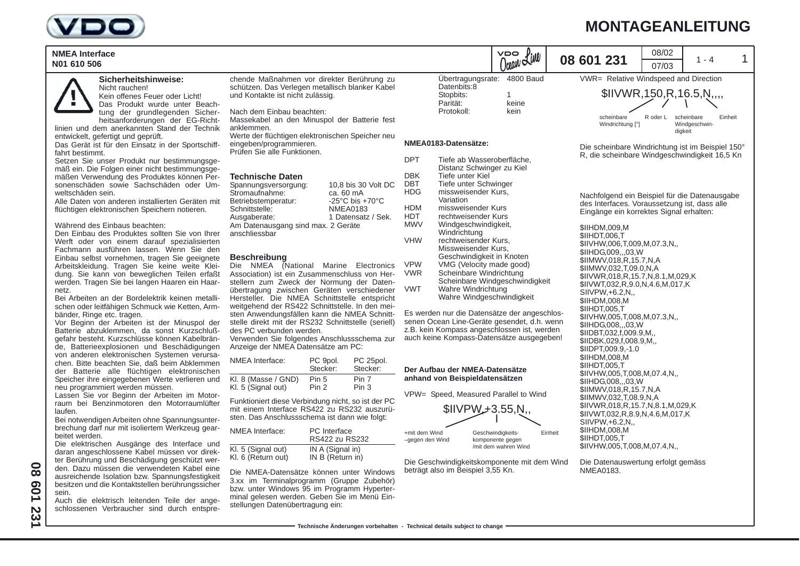

## **MONTAGEANLEITUNG**

| <b>NMEA Interface</b><br>N01 610 506                                                                                                                                                                                                                                                                                                                                                                                                                                                                                                                                                                                                                                                                                                                                                                                                                                                                                                                                                           |                                                                                                                                                                                                                                                                                                                                                                                                                                                                                                                                                                                                                                                                                                                                                                                                                                                          |                                                                                        |                                |                                                                                                                                          |                                                                                                                                                                                                                                                                                                                                                                                                                                                                                                                                                                                                                                                  |                   | Ocean Line                                         |         | 08 601 231                                                                                                                                                                                                                                                                                                                                                                                                                                                                                                                                                                                                   |                                                                                                         | 08/02<br>07/03 | $1 - 4$                                |         |
|------------------------------------------------------------------------------------------------------------------------------------------------------------------------------------------------------------------------------------------------------------------------------------------------------------------------------------------------------------------------------------------------------------------------------------------------------------------------------------------------------------------------------------------------------------------------------------------------------------------------------------------------------------------------------------------------------------------------------------------------------------------------------------------------------------------------------------------------------------------------------------------------------------------------------------------------------------------------------------------------|----------------------------------------------------------------------------------------------------------------------------------------------------------------------------------------------------------------------------------------------------------------------------------------------------------------------------------------------------------------------------------------------------------------------------------------------------------------------------------------------------------------------------------------------------------------------------------------------------------------------------------------------------------------------------------------------------------------------------------------------------------------------------------------------------------------------------------------------------------|----------------------------------------------------------------------------------------|--------------------------------|------------------------------------------------------------------------------------------------------------------------------------------|--------------------------------------------------------------------------------------------------------------------------------------------------------------------------------------------------------------------------------------------------------------------------------------------------------------------------------------------------------------------------------------------------------------------------------------------------------------------------------------------------------------------------------------------------------------------------------------------------------------------------------------------------|-------------------|----------------------------------------------------|---------|--------------------------------------------------------------------------------------------------------------------------------------------------------------------------------------------------------------------------------------------------------------------------------------------------------------------------------------------------------------------------------------------------------------------------------------------------------------------------------------------------------------------------------------------------------------------------------------------------------------|---------------------------------------------------------------------------------------------------------|----------------|----------------------------------------|---------|
| Sicherheitshinweise:<br>Nicht rauchen!<br>Kein offenes Feuer oder Licht!<br>Das Produkt wurde unter Beach-<br>tung der grundlegenden Sicher-<br>heitsanforderungen der EG-Richt-<br>linien und dem anerkannten Stand der Technik                                                                                                                                                                                                                                                                                                                                                                                                                                                                                                                                                                                                                                                                                                                                                               | chende Maßnahmen vor direkter Berührung zu<br>schützen. Das Verlegen metallisch blanker Kabel<br>und Kontakte ist nicht zulässig.<br>Nach dem Einbau beachten:<br>Massekabel an den Minuspol der Batterie fest<br>anklemmen.                                                                                                                                                                                                                                                                                                                                                                                                                                                                                                                                                                                                                             |                                                                                        |                                |                                                                                                                                          | Datenbits:8<br>Stopbits:<br>Parität:<br>Protokoll:                                                                                                                                                                                                                                                                                                                                                                                                                                                                                                                                                                                               |                   | Übertragungsrate: 4800 Baud<br>1.<br>keine<br>kein |         |                                                                                                                                                                                                                                                                                                                                                                                                                                                                                                                                                                                                              | VWR= Relative Windspeed and Direction<br>\$IIVWR, 150, R, 16.5, N,,,,<br>scheinbare<br>Windrichtung [°] | R oder L       | scheinbare<br>Windgeschwin-<br>digkeit | Einheit |
| entwickelt, gefertigt und geprüft.<br>Das Gerät ist für den Einsatz in der Sportschiff-<br>fahrt bestimmt.<br>Setzen Sie unser Produkt nur bestimmungsge-                                                                                                                                                                                                                                                                                                                                                                                                                                                                                                                                                                                                                                                                                                                                                                                                                                      | Werte der flüchtigen elektronischen Speicher neu<br>eingeben/programmieren.<br>Prüfen Sie alle Funktionen.                                                                                                                                                                                                                                                                                                                                                                                                                                                                                                                                                                                                                                                                                                                                               |                                                                                        |                                | <b>DPT</b>                                                                                                                               | NMEA0183-Datensätze:                                                                                                                                                                                                                                                                                                                                                                                                                                                                                                                                                                                                                             |                   |                                                    |         |                                                                                                                                                                                                                                                                                                                                                                                                                                                                                                                                                                                                              | Die scheinbare Windrichtung ist im Beispiel 150°                                                        |                |                                        |         |
| mäß ein. Die Folgen einer nicht bestimmungsge-<br>mäßen Verwendung des Produktes können Per-<br>sonenschäden sowie Sachschäden oder Um-<br>weltschäden sein.<br>Alle Daten von anderen installierten Geräten mit<br>flüchtigen elektronischen Speichern notieren.<br>Während des Einbaus beachten:<br>Den Einbau des Produktes sollten Sie von Ihrer<br>Werft oder von einem darauf spezialisierten<br>Fachmann ausführen lassen. Wenn Sie den<br>Einbau selbst vornehmen, tragen Sie geeignete<br>Arbeitskleidung. Tragen Sie keine weite Klei-<br>dung. Sie kann von beweglichen Teilen erfaßt<br>werden. Tragen Sie bei langen Haaren ein Haar-<br>netz.<br>Bei Arbeiten an der Bordelektrik keinen metalli-<br>schen oder leitfähigen Schmuck wie Ketten, Arm-<br>bänder, Ringe etc. tragen.<br>Vor Beginn der Arbeiten ist der Minuspol der<br>Batterie abzuklemmen, da sonst Kurzschluß-<br>gefahr besteht. Kurzschlüsse können Kabelbrän-<br>de, Batterieexplosionen und Beschädigungen | Technische Daten<br>10,8 bis 30 Volt DC<br>Spannungsversorgung:<br>Stromaufnahme:<br>ca. 60 mA<br>Betriebstemperatur:<br>-25 $\mathrm{^{\circ}C}$ bis +70 $\mathrm{^{\circ}C}$<br>Schnittstelle:<br><b>NMEA0183</b><br>Ausgaberate:<br>1 Datensatz / Sek.<br>Am Datenausgang sind max. 2 Geräte<br>anschliessbar<br><b>Beschreibung</b><br>Die NMEA (National Marine Electronics<br>Association) ist ein Zusammenschluss von Her-<br>stellern zum Zweck der Normung der Daten-<br>übertragung zwischen Geräten verschiedener<br>Hersteller. Die NMEA Schnittstelle entspricht<br>weitgehend der RS422 Schnittstelle. In den mei-<br>sten Anwendungsfällen kann die NMEA Schnitt-<br>stelle direkt mit der RS232 Schnittstelle (seriell)<br>des PC verbunden werden.<br>Verwenden Sie folgendes Anschlussschema zur<br>Anzeige der NMEA Datensätze am PC: |                                                                                        |                                | <b>DBK</b><br><b>DBT</b><br><b>HDG</b><br><b>HDM</b><br><b>HDT</b><br><b>MWV</b><br><b>VHW</b><br><b>VPW</b><br><b>VWR</b><br><b>VWT</b> | Tiefe ab Wasseroberfläche,<br>Distanz Schwinger zu Kiel<br>Tiefe unter Kiel<br>Tiefe unter Schwinger<br>missweisender Kurs,<br>Variation<br>missweisender Kurs<br>rechtweisender Kurs<br>Windgeschwindigkeit,<br>Windrichtung<br>rechtweisender Kurs,<br>Missweisender Kurs,<br>Geschwindigkeit in Knoten<br>VMG (Velocity made good)<br>Scheinbare Windrichtung<br>Scheinbare Windgeschwindigkeit<br>Wahre Windrichtung<br>Wahre Windgeschwindigkeit<br>Es werden nur die Datensätze der angeschlos-<br>senen Ocean Line-Geräte gesendet, d.h. wenn<br>z.B. kein Kompass angeschlossen ist, werden<br>auch keine Kompass-Datensätze ausgegeben! |                   |                                                    |         | R, die scheinbare Windgeschwindigkeit 16,5 Kn<br>Nachfolgend ein Beispiel für die Datenausgabe<br>des Interfaces. Voraussetzung ist, dass alle<br>Eingänge ein korrektes Signal erhalten:<br>\$IIHDM,009,M<br>\$IIHDT,006,T<br>\$IIVHW,006,T,009,M,07.3,N,,<br>\$IIHDG,009,,,03,W<br>\$IIMWV,018,R,15.7,N,A<br>\$IIMWV,032,T,09.0,N,A<br>\$IIVWR,018,R,15.7,N,8.1,M,029,K<br>\$IIVWT,032,R,9.0,N,4.6,M,017,K<br>SIIVPW, +6.2, N,,<br>\$IIHDM,008,M<br><b>\$IIHDT.005.T</b><br>\$IIVHW,005,T,008,M,07.3,N,,<br>\$IIHDG,008,,,03,W<br>\$IIDBT,032,f,009.9,M.,<br>\$IIDBK,029,f,008.9,M,,<br>\$IIDPT,009.9,-1.0 |                                                                                                         |                |                                        |         |
| von anderen elektronischen Systemen verursa-<br>chen. Bitte beachten Sie, daß beim Abklemmen<br>der Batterie alle flüchtigen elektronischen<br>Speicher ihre eingegebenen Werte verlieren und                                                                                                                                                                                                                                                                                                                                                                                                                                                                                                                                                                                                                                                                                                                                                                                                  | NMEA Interface:<br>Kl. 8 (Masse / GND)                                                                                                                                                                                                                                                                                                                                                                                                                                                                                                                                                                                                                                                                                                                                                                                                                   | PC 9pol.<br>Stecker:<br>Pin 5                                                          | PC 25pol.<br>Stecker:<br>Pin 7 |                                                                                                                                          | Der Aufbau der NMEA-Datensätze<br>anhand von Beispieldatensätzen                                                                                                                                                                                                                                                                                                                                                                                                                                                                                                                                                                                 |                   |                                                    |         |                                                                                                                                                                                                                                                                                                                                                                                                                                                                                                                                                                                                              | \$IIHDM,008,M<br>\$IIHDT,005,T<br>\$IIVHW,005,T,008,M,07.4,N,,<br>\$IIHDG,008,,,03,W                    |                |                                        |         |
| neu programmiert werden müssen.<br>Lassen Sie vor Beginn der Arbeiten im Motor-<br>raum bei Benzinmotoren den Motorraumlüfter<br>laufen.<br>Bei notwendigen Arbeiten ohne Spannungsunter-                                                                                                                                                                                                                                                                                                                                                                                                                                                                                                                                                                                                                                                                                                                                                                                                      | Kl. 5 (Signal out)<br>Funktioniert diese Verbindung nicht, so ist der PC<br>mit einem Interface RS422 zu RS232 auszurü-<br>sten. Das Anschlussschema ist dann wie folgt:                                                                                                                                                                                                                                                                                                                                                                                                                                                                                                                                                                                                                                                                                 | Pin 2                                                                                  | Pin 3                          |                                                                                                                                          | VPW= Speed, Measured Parallel to Wind<br>$IIVPW + 3.55, N,$                                                                                                                                                                                                                                                                                                                                                                                                                                                                                                                                                                                      |                   |                                                    |         | \$IIMWV,018,R,15.7,N,A<br>\$IIMWV,032,T,08.9,N,A<br>\$IIVWR,018,R,15.7,N,8.1,M,029,K<br>\$IIVWT,032,R,8.9,N,4.6,M,017,K<br>SIIVPW, +6.2, N,,                                                                                                                                                                                                                                                                                                                                                                                                                                                                 |                                                                                                         |                |                                        |         |
| brechung darf nur mit isoliertem Werkzeug gear-<br>beitet werden.<br>Die elektrischen Ausgänge des Interface und<br>daran angeschlossene Kabel müssen vor direk-                                                                                                                                                                                                                                                                                                                                                                                                                                                                                                                                                                                                                                                                                                                                                                                                                               | NMEA Interface:<br>Kl. 5 (Signal out)<br>$V \cup C$ (Dotum out)                                                                                                                                                                                                                                                                                                                                                                                                                                                                                                                                                                                                                                                                                                                                                                                          | <b>PC</b> Interface<br>RS422 zu RS232<br>IN A (Signal in)<br>$IND(D_{\text{churn}} n)$ |                                | +mit dem Wind<br>-gegen den Wind                                                                                                         |                                                                                                                                                                                                                                                                                                                                                                                                                                                                                                                                                                                                                                                  | Geschwindigkeits- | komponente gegen<br>/mit dem wahren Wind           | Einheit |                                                                                                                                                                                                                                                                                                                                                                                                                                                                                                                                                                                                              | \$IIHDM,008,M<br>\$IIHDT,005,T<br>\$IIVHW,005,T,008,M,07.4,N,,                                          |                |                                        |         |

Die Datenauswertung erfolgt gemäss NMEA0183.

Die elektrischen Au daran angeschlosse ter Berührung und Beschädigung geschützt werden. Dazu müssen die verwendeten Kabel eine ausreichende Isolation bzw. Spannungsfestigkeit besitzen und die Kontaktstellen berührungssicher sein.

Auch die elektrisch leitenden Teile der angeschlossenen Verbraucher sind durch entspre-

**08 601 231**

231

**PO3** 

80

| NMEA Interface:    | <b>PC</b> Interface<br>RS422 zu RS232 |
|--------------------|---------------------------------------|
| Kl. 5 (Signal out) | IN A (Signal in)                      |
| Kl. 6 (Return out) | IN B (Return in)                      |

Die NMEA-Datensätze können unter Windows 3.xx im Terminalprogramm (Gruppe Zubehör) bzw. unter Windows 95 im Programm Hyperterminal gelesen werden. Geben Sie im Menü Einstellungen Datenübertragung ein:

Die Geschwindigkeitskomponente mit dem Wind beträgt also im Beispiel 3,55 Kn.

**Technische Änderungen vorbehalten - Technical details subject to change**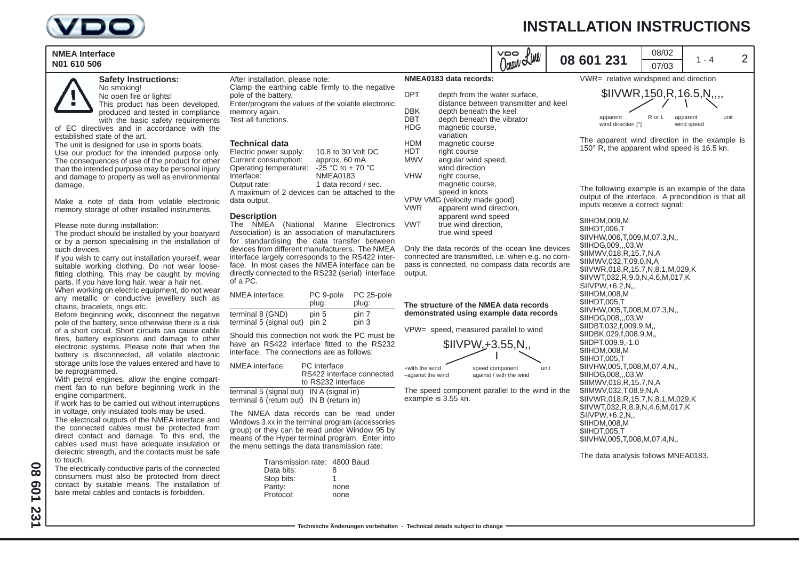



**Safety Instructions:** No smoking!

No open fire or lights! This product has been developed, produced and tested in compliance

with the basic safety requirements of EC directives and in accordance with the established state of the art.

The unit is designed for use in sports boats. Use our product for the intended purpose only. The consequences of use of the product for other than the intended purpose may be personal injury and damage to property as well as environmental damage.

Make a note of data from volatile electronic memory storage of other installed instruments.

### Please note during installation:

The product should be installed by your boatyard or by a person specialising in the installation of such devices.

If you wish to carry out installation yourself, wear suitable working clothing. Do not wear loosefitting clothing. This may be caught by moving parts. If you have long hair, wear a hair net.

When working on electric equipment, do not wear any metallic or conductive jewellery such as chains, bracelets, rings etc.

Before beginning work, disconnect the negative pole of the battery, since otherwise there is a risk of a short circuit. Short circuits can cause cable fires, battery explosions and damage to other electronic systems. Please note that when the battery is disconnected, all volatile electronic storage units lose the values entered and have to be reprogrammed.

With petrol engines, allow the engine compartment fan to run before beginning work in the engine compartment.

If work has to be carried out without interruptions in voltage, only insulated tools may be used.

The electrical outputs of the NMEA interface and the connected cables must be protected from direct contact and damage. To this end, the cables used must have adequate insulation or dielectric strength, and the contacts must be safe to touch.

The electrically conductive parts of the connected consumers must also be protected from direct contact by suitable means. The installation of bare metal cables and contacts is forbidden.

After installation, please note: Clamp the earthing cable firmly to the negative pole of the battery. Enter/program the values of the volatile electronic memory again. Test all functions.

### **Technical data**

Electric power supply: 10.8 to 30 Volt DC Current consumption: approx. 60 mA Operating temperature:  $-25$  °C to + 70 °C<br>Interface: NMEA0183 NMFA0183 Output rate: 1 data record / sec. A maximum of 2 devices can be attached to the data output.

### **Description**

The NMEA (National Marine Electronics Association) is an association of manufacturers for standardising the data transfer between devices from different manufacturers. The NMEA interface largely corresponds to the RS422 interface. In most cases the NMEA interface can be directly connected to the RS232 (serial) interface of a PC.

| NMEA interface:         | PC 9-pole<br>plug: | PC 25-pole<br>plug: |
|-------------------------|--------------------|---------------------|
| terminal 8 (GND)        | pin 5              | pin 7               |
| terminal 5 (signal out) | pin 2              | pin 3               |

Should this connection not work the PC must be have an RS422 interface fitted to the RS232 interface. The connections are as follows:

NMEA interface: PC interface RS422 interface connected to RS232 interface

terminal 5 (signal out) IN A (signal in) terminal 6 (return out) IN B (return in)

The NMEA data records can be read under Windows 3.xx in the terminal program (accessories group) or they can be read under Window 95 by means of the Hyper terminal program. Enter into the menu settings the data transmission rate:

| Transmission rate: 4800 Baud |      |
|------------------------------|------|
| Data bits:                   | 8    |
| Stop bits:                   | 1    |
| Parity:                      | none |
| Protocol:                    | none |

## **NMEA0183 data records:**

| DPT        | depth from the water surface,<br>distance between transmitter ar |
|------------|------------------------------------------------------------------|
| DBK        | depth beneath the keel                                           |
| DBT        | depth beneath the vibrator                                       |
| HDG        | magnetic course,                                                 |
|            | variation                                                        |
| HDM        | magnetic course                                                  |
| HDT        | right course                                                     |
| MWV        | angular wind speed,                                              |
|            | wind direction                                                   |
| <b>VHW</b> | right course,                                                    |
|            | magnetic course,                                                 |
|            | speed in knots                                                   |
|            | VPW VMG (velocity made good)                                     |
| VWR        | apparent wind direction,                                         |
|            | apparent wind speed                                              |
| VWT        | true wind direction,                                             |
|            | true wind speed                                                  |

Only the data records of the ocean line devices connected are transmitted, i.e. when e.g. no compass is connected, no compass data records are output.

### **The structure of the NMEA data records demonstrated using example data records**

VPW= speed, measured parallel to wind



The speed component parallel to the wind in the example is 3.55 kn.

# **INSTALLATION INSTRUCTIONS**



The data analysis follows MNEA0183.

**Technische Änderungen vorbehalten - Technical details subject to change**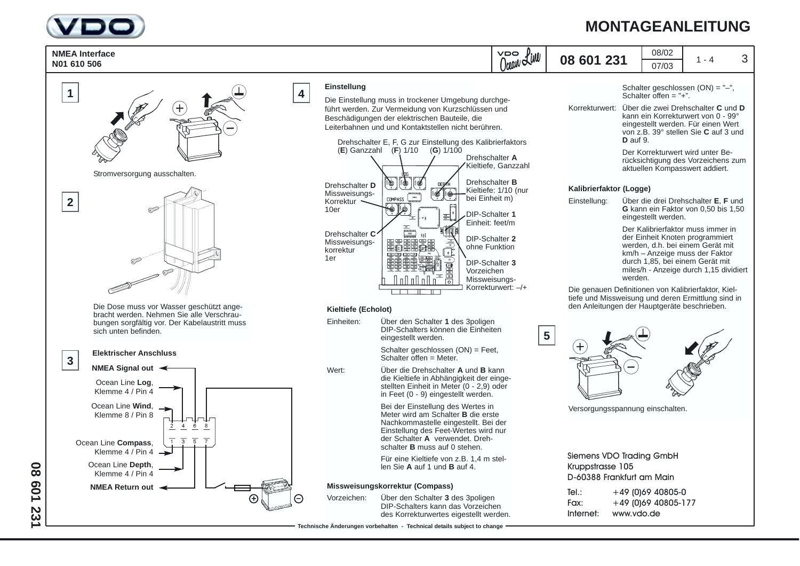

## **MONTAGEANLEITUNG**